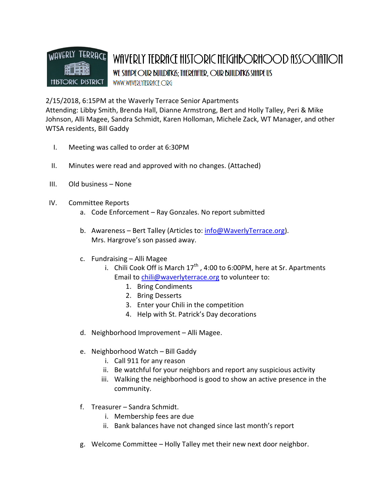

2/15/2018, 6:15PM at the Waverly Terrace Senior Apartments

Attending: Libby Smith, Brenda Hall, Dianne Armstrong, Bert and Holly Talley, Peri & Mike Johnson, Alli Magee, Sandra Schmidt, Karen Holloman, Michele Zack, WT Manager, and other WTSA residents, Bill Gaddy

- I. Meeting was called to order at 6:30PM
- II. Minutes were read and approved with no changes. (Attached)
- III. Old business None
- IV. Committee Reports
	- a. Code Enforcement Ray Gonzales. No report submitted
	- b. Awareness Bert Talley (Articles to: info@WaverlyTerrace.org). Mrs. Hargrove's son passed away.
	- c. Fundraising Alli Magee
		- i. Chili Cook Off is March  $17<sup>th</sup>$ , 4:00 to 6:00PM, here at Sr. Apartments Email to chili@waverlyterrace.org to volunteer to:
			- 1. Bring Condiments
			- 2. Bring Desserts
			- 3. Enter your Chili in the competition
			- 4. Help with St. Patrick's Day decorations
	- d. Neighborhood Improvement Alli Magee.
	- e. Neighborhood Watch Bill Gaddy
		- i. Call 911 for any reason
		- ii. Be watchful for your neighbors and report any suspicious activity
		- iii. Walking the neighborhood is good to show an active presence in the community.
	- f. Treasurer Sandra Schmidt.
		- i. Membership fees are due
		- ii. Bank balances have not changed since last month's report
	- g. Welcome Committee Holly Talley met their new next door neighbor.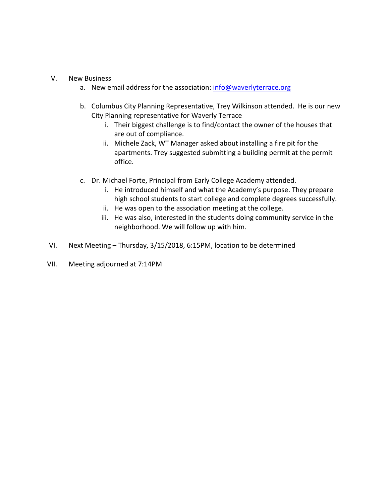## V. New Business

- a. New email address for the association: info@waverlyterrace.org
- b. Columbus City Planning Representative, Trey Wilkinson attended. He is our new City Planning representative for Waverly Terrace
	- i. Their biggest challenge is to find/contact the owner of the houses that are out of compliance.
	- ii. Michele Zack, WT Manager asked about installing a fire pit for the apartments. Trey suggested submitting a building permit at the permit office.
- c. Dr. Michael Forte, Principal from Early College Academy attended.
	- i. He introduced himself and what the Academy's purpose. They prepare high school students to start college and complete degrees successfully.
	- ii. He was open to the association meeting at the college.
	- iii. He was also, interested in the students doing community service in the neighborhood. We will follow up with him.
- VI. Next Meeting Thursday, 3/15/2018, 6:15PM, location to be determined
- VII. Meeting adjourned at 7:14PM